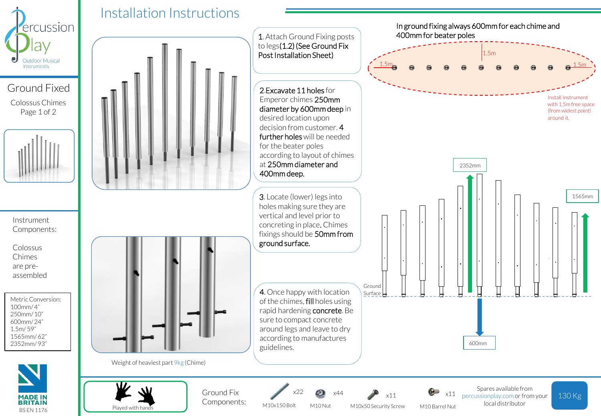

Colossus Chimes Page 1 of 2



Instrument Components:

Colossus Chimes are preassembled

Metric Conversion:  $100mm/4"$ 250mm/ 10" 600mm/ 24" 1.5m/ 59" 1565mm/ 62" 2352mm/ 93"







Weight of heaviest part 9kg (Chime)



Installation Instructions